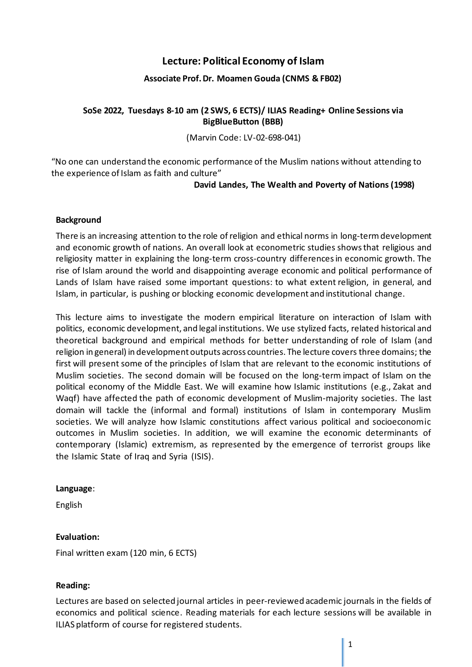# **Lecture: Political Economy of Islam**

### **Associate Prof. Dr. Moamen Gouda (CNMS & FB02)**

## **SoSe 2022, Tuesdays 8-10 am (2 SWS, 6 ECTS)/ ILIAS Reading+ Online Sessions via BigBlueButton (BBB)**

(Marvin Code: LV-02-698-041)

"No one can understand the economic performance of the Muslim nations without attending to the experience of Islam as faith and culture"

#### **David Landes, The Wealth and Poverty of Nations (1998)**

#### **Background**

There is an increasing attention to the role of religion and ethical norms in long-term development and economic growth of nations. An overall look at econometric studies shows that religious and religiosity matter in explaining the long-term cross-country differencesin economic growth. The rise of Islam around the world and disappointing average economic and political performance of Lands of Islam have raised some important questions: to what extent religion, in general, and Islam, in particular, is pushing or blocking economic development and institutional change.

This lecture aims to investigate the modern empirical literature on interaction of Islam with politics, economic development, and legal institutions. We use stylized facts, related historical and theoretical background and empirical methods for better understanding of role of Islam (and religion in general) in development outputs across countries. The lecture covers three domains; the first will present some of the principles of Islam that are relevant to the economic institutions of Muslim societies. The second domain will be focused on the long-term impact of Islam on the political economy of the Middle East. We will examine how Islamic institutions (e.g., Zakat and Waqf) have affected the path of economic development of Muslim-majority societies. The last domain will tackle the (informal and formal) institutions of Islam in contemporary Muslim societies. We will analyze how Islamic constitutions affect various political and socioeconomic outcomes in Muslim societies. In addition, we will examine the economic determinants of contemporary (Islamic) extremism, as represented by the emergence of terrorist groups like the Islamic State of Iraq and Syria (ISIS).

#### **Language**:

English

#### **Evaluation:**

Final written exam (120 min, 6 ECTS)

#### **Reading:**

Lectures are based on selected journal articles in peer-reviewed academic journals in the fields of economics and political science. Reading materials for each lecture sessions will be available in ILIAS platform of course for registered students.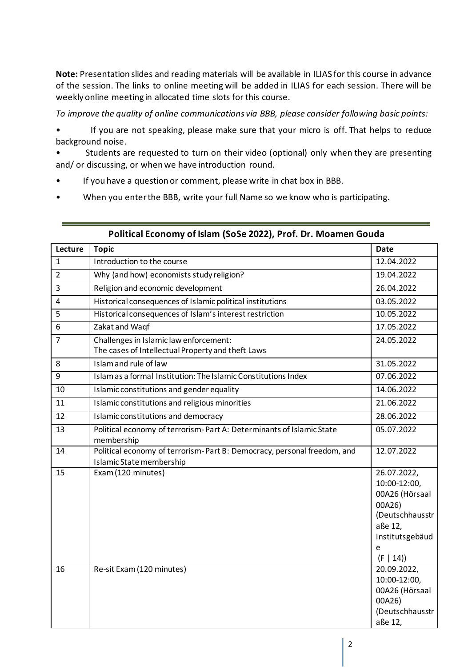**Note:** Presentation slides and reading materials will be available in ILIAS for this course in advance of the session. The links to online meeting will be added in ILIAS for each session. There will be weekly online meeting in allocated time slots for this course.

*To improve the quality of online communications via BBB, please consider following basic points:*

If you are not speaking, please make sure that your micro is off. That helps to reduce background noise.

Students are requested to turn on their video (optional) only when they are presenting and/ or discussing, or when we have introduction round.

- If you have a question or comment, please write in chat box in BBB.
- When you enter the BBB, write your full Name so we know who is participating.

| Lecture        | <b>Topic</b>                                                                                        | <b>Date</b>                                                                                                               |
|----------------|-----------------------------------------------------------------------------------------------------|---------------------------------------------------------------------------------------------------------------------------|
| $\mathbf{1}$   | Introduction to the course                                                                          | 12.04.2022                                                                                                                |
| $\overline{2}$ | Why (and how) economists study religion?                                                            | 19.04.2022                                                                                                                |
| $\overline{3}$ | Religion and economic development                                                                   | 26.04.2022                                                                                                                |
| $\overline{4}$ | Historical consequences of Islamic political institutions                                           | 03.05.2022                                                                                                                |
| 5              | Historical consequences of Islam's interest restriction                                             | 10.05.2022                                                                                                                |
| 6              | Zakat and Waqf                                                                                      | 17.05.2022                                                                                                                |
| $\overline{7}$ | Challenges in Islamic law enforcement:<br>The cases of Intellectual Property and theft Laws         | 24.05.2022                                                                                                                |
| 8              | Islam and rule of law                                                                               | 31.05.2022                                                                                                                |
| 9              | Islam as a formal Institution: The Islamic Constitutions Index                                      | 07.06.2022                                                                                                                |
| 10             | Islamic constitutions and gender equality                                                           | 14.06.2022                                                                                                                |
| 11             | Islamic constitutions and religious minorities                                                      | 21.06.2022                                                                                                                |
| 12             | Islamic constitutions and democracy                                                                 | 28.06.2022                                                                                                                |
| 13             | Political economy of terrorism-Part A: Determinants of Islamic State<br>membership                  | 05.07.2022                                                                                                                |
| 14             | Political economy of terrorism-Part B: Democracy, personal freedom, and<br>Islamic State membership | 12.07.2022                                                                                                                |
| 15             | Exam (120 minutes)                                                                                  | 26.07.2022,<br>10:00-12:00,<br>00A26 (Hörsaal<br>00A26)<br>(Deutschhausstr<br>aße 12,<br>Institutsgebäud<br>e<br>(F   14) |
| 16             | Re-sit Exam (120 minutes)                                                                           | 20.09.2022,<br>10:00-12:00,<br>00A26 (Hörsaal<br>00A26)<br>(Deutschhausstr<br>aße 12,                                     |

#### **Political Economy of Islam (SoSe 2022), Prof. Dr. Moamen Gouda**